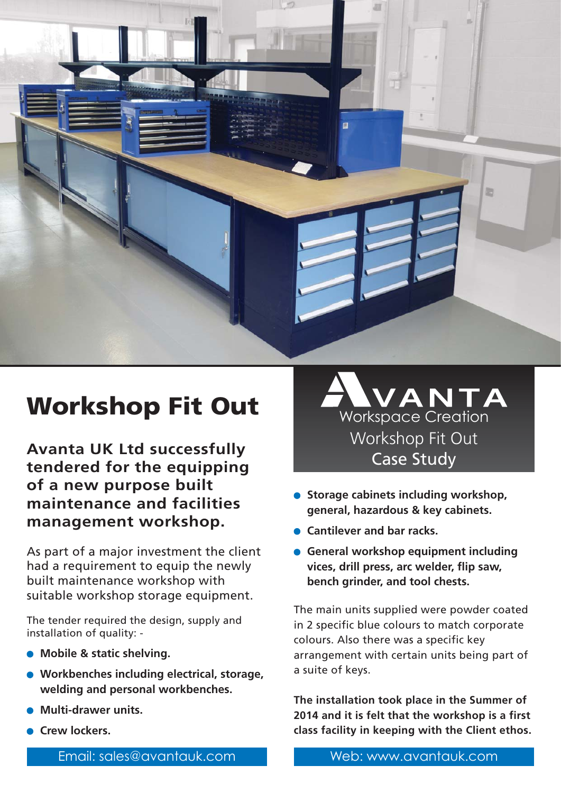

**Avanta UK Ltd successfully tendered for the equipping of a new purpose built maintenance and facilities management workshop.**

As part of a major investment the client had a requirement to equip the newly built maintenance workshop with suitable workshop storage equipment.

The tender required the design, supply and installation of quality: -

- **Mobile & static shelving.**
- **Workbenches including electrical, storage, welding and personal workbenches.**
- **Multi-drawer units.**
- **Crew lockers.**



- **Storage cabinets including workshop, general, hazardous & key cabinets.**
- **Cantilever and bar racks.**
- **General workshop equipment including vices, drill press, arc welder, flip saw, bench grinder, and tool chests.**

The main units supplied were powder coated in 2 specific blue colours to match corporate colours. Also there was a specific key arrangement with certain units being part of a suite of keys.

**The installation took place in the Summer of 2014 and it is felt that the workshop is a first class facility in keeping with the Client ethos.**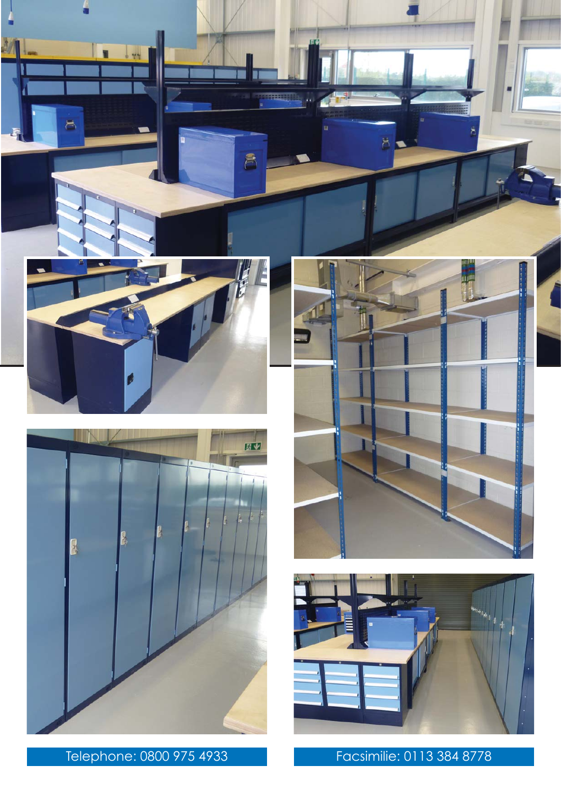

8

 $\blacksquare$ 





Telephone: 0800 975 4933 Facsimilie: 0113 384 8778